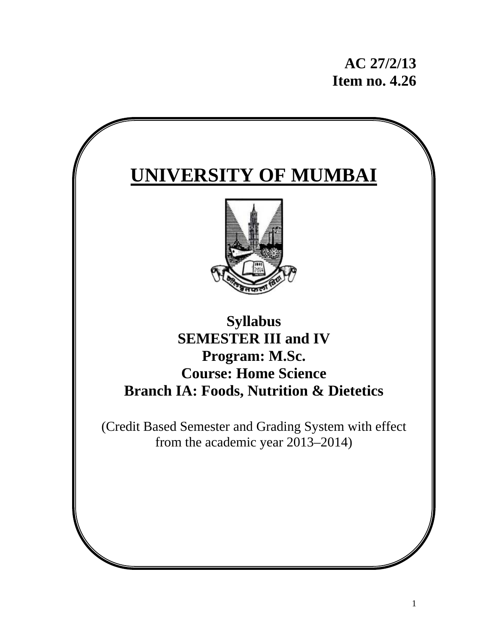# **AC 27/2/13 Item no. 4.26**

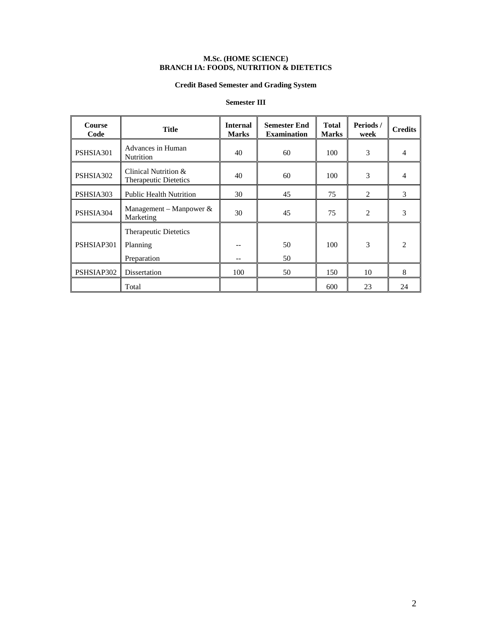#### **M.Sc. (HOME SCIENCE) BRANCH IA: FOODS, NUTRITION & DIETETICS**

## **Credit Based Semester and Grading System**

## **Semester III**

| <b>Course</b><br>Code | Title                                                | <b>Internal</b><br><b>Marks</b> | <b>Semester End</b><br><b>Examination</b> | <b>Total</b><br><b>Marks</b> | Periods /<br>week | <b>Credits</b>              |
|-----------------------|------------------------------------------------------|---------------------------------|-------------------------------------------|------------------------------|-------------------|-----------------------------|
| PSHSIA301             | Advances in Human<br><b>Nutrition</b>                | 40                              | 60                                        | 100                          | 3                 | 4                           |
| PSHSIA302             | Clinical Nutrition &<br><b>Therapeutic Dietetics</b> | 40                              | 60                                        | 100                          | 3                 | 4                           |
| PSHSIA303             | <b>Public Health Nutrition</b>                       | 30                              | 45                                        | 75                           | 2                 | 3                           |
| PSHSIA304             | Management – Manpower $\&$<br>Marketing              | 30                              | 45                                        | 75                           | $\overline{2}$    | 3                           |
| PSHSIAP301            | Therapeutic Dietetics<br>Planning<br>Preparation     |                                 | 50<br>50                                  | 100                          | 3                 | $\mathcal{D}_{\mathcal{L}}$ |
| PSHSIAP302            | Dissertation                                         | 100                             | 50                                        | 150                          | 10                | 8                           |
|                       | Total                                                |                                 |                                           | 600                          | 23                | 24                          |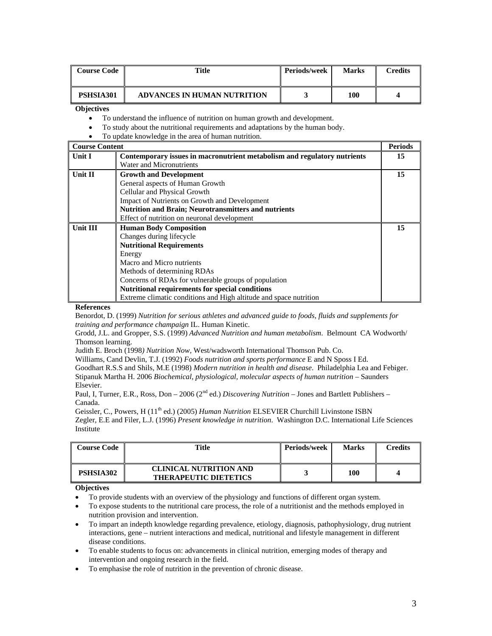| Course Code | Title                              | <b>Periods/week</b> | <b>Marks</b> | `redits |
|-------------|------------------------------------|---------------------|--------------|---------|
| PSHSIA301   | <b>ADVANCES IN HUMAN NUTRITION</b> |                     | 100          |         |

- To understand the influence of nutrition on human growth and development.
- To study about the nutritional requirements and adaptations by the human body.
- To update knowledge in the area of human nutrition.

| <b>Course Content</b> |                                                                          | <b>Periods</b> |
|-----------------------|--------------------------------------------------------------------------|----------------|
| Unit I                | Contemporary issues in macronutrient metabolism and regulatory nutrients | 15             |
|                       | Water and Micronutrients                                                 |                |
| Unit II               | <b>Growth and Development</b>                                            | 15             |
|                       | General aspects of Human Growth                                          |                |
|                       | Cellular and Physical Growth                                             |                |
|                       | Impact of Nutrients on Growth and Development                            |                |
|                       | Nutrition and Brain; Neurotransmitters and nutrients                     |                |
|                       | Effect of nutrition on neuronal development                              |                |
| Unit III              | <b>Human Body Composition</b>                                            | 15             |
|                       | Changes during lifecycle                                                 |                |
|                       | <b>Nutritional Requirements</b>                                          |                |
|                       | Energy                                                                   |                |
|                       | Macro and Micro nutrients                                                |                |
|                       | Methods of determining RDAs                                              |                |
|                       | Concerns of RDAs for vulnerable groups of population                     |                |
|                       | Nutritional requirements for special conditions                          |                |
|                       | Extreme climatic conditions and High altitude and space nutrition        |                |

#### **References**

Benordot, D. (1999) *Nutrition for serious athletes and advanced guide to foods, fluids and supplements for training and performance champaign* IL. Human Kinetic.

Grodd, J.L. and Gropper, S.S. (1999) *Advanced Nutrition and human metabolism*. Belmount CA Wodworth/ Thomson learning.

Judith E. Broch (1998*) Nutrition Now*, West/wadsworth International Thomson Pub. Co.

Williams, Cand Devlin, T.J. (1992) *Foods nutrition and sports performance* E and N Sposs I Ed.

Goodhart R.S.S and Shils, M.E (1998) *Modern nutrition in health and disease*. Philadelphia Lea and Febiger. Stipanuk Martha H. 2006 *Biochemical, physiological, molecular aspects of human nutrition* – Saunders Elsevier.

Paul, I, Turner, E.R., Ross, Don – 2006 (2nd ed.) *Discovering Nutrition* – Jones and Bartlett Publishers – Canada.

Geissler, C., Powers, H (11<sup>th</sup> ed.) (2005) *Human Nutrition* ELSEVIER Churchill Livinstone ISBN Zegler, E.E and Filer, L.J. (1996) *Present knowledge in nutrition*. Washington D.C. International Life Sciences Institute

| <b>Course Code</b> | Title                                                         | Periods/week | <b>Marks</b> | Credits |
|--------------------|---------------------------------------------------------------|--------------|--------------|---------|
| PSHSIA302          | <b>CLINICAL NUTRITION AND</b><br><b>THERAPEUTIC DIETETICS</b> |              | 100          |         |

#### **Objectives**

- To provide students with an overview of the physiology and functions of different organ system.
- To expose students to the nutritional care process, the role of a nutritionist and the methods employed in nutrition provision and intervention.
- To impart an indepth knowledge regarding prevalence, etiology, diagnosis, pathophysiology, drug nutrient interactions, gene – nutrient interactions and medical, nutritional and lifestyle management in different disease conditions.
- To enable students to focus on: advancements in clinical nutrition, emerging modes of therapy and intervention and ongoing research in the field.
- To emphasise the role of nutrition in the prevention of chronic disease.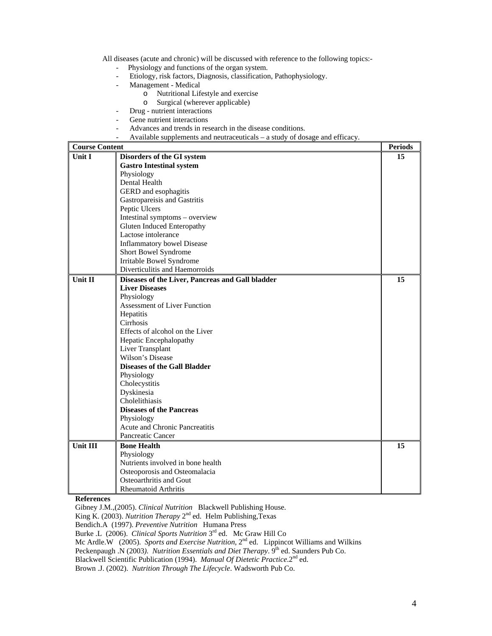All diseases (acute and chronic) will be discussed with reference to the following topics:-

- Physiology and functions of the organ system.
- Etiology, risk factors, Diagnosis, classification, Pathophysiology.
- Management Medical
	- o Nutritional Lifestyle and exercise
	- o Surgical (wherever applicable)
- Drug nutrient interactions
- Gene nutrient interactions
- Advances and trends in research in the disease conditions.
- Available supplements and neutraceuticals a study of dosage and efficacy.

| <b>Course Content</b> |                                                  | <b>Periods</b> |
|-----------------------|--------------------------------------------------|----------------|
| <b>Unit I</b>         | Disorders of the GI system                       | 15             |
|                       | <b>Gastro Intestinal system</b>                  |                |
|                       | Physiology                                       |                |
|                       | Dental Health                                    |                |
|                       | GERD and esophagitis                             |                |
|                       | Gastropareisis and Gastritis                     |                |
|                       | Peptic Ulcers                                    |                |
|                       | Intestinal symptoms - overview                   |                |
|                       | <b>Gluten Induced Enteropathy</b>                |                |
|                       | Lactose intolerance                              |                |
|                       | <b>Inflammatory bowel Disease</b>                |                |
|                       | Short Bowel Syndrome                             |                |
|                       | Irritable Bowel Syndrome                         |                |
|                       | Diverticulitis and Haemorroids                   |                |
| Unit II               | Diseases of the Liver, Pancreas and Gall bladder | 15             |
|                       | <b>Liver Diseases</b>                            |                |
|                       | Physiology                                       |                |
|                       | <b>Assessment of Liver Function</b>              |                |
|                       | Hepatitis                                        |                |
|                       | Cirrhosis                                        |                |
|                       | Effects of alcohol on the Liver                  |                |
|                       | Hepatic Encephalopathy                           |                |
|                       | Liver Transplant                                 |                |
|                       | Wilson's Disease                                 |                |
|                       | <b>Diseases of the Gall Bladder</b>              |                |
|                       | Physiology                                       |                |
|                       | Cholecystitis                                    |                |
|                       | Dyskinesia                                       |                |
|                       | Cholelithiasis                                   |                |
|                       | <b>Diseases of the Pancreas</b>                  |                |
|                       | Physiology                                       |                |
|                       | Acute and Chronic Pancreatitis                   |                |
|                       | Pancreatic Cancer                                |                |
| Unit III              | <b>Bone Health</b>                               | 15             |
|                       | Physiology                                       |                |
|                       | Nutrients involved in bone health                |                |
|                       | Osteoporosis and Osteomalacia                    |                |
|                       | Osteoarthritis and Gout                          |                |
|                       | <b>Rheumatoid Arthritis</b>                      |                |

**References** 

Gibney J.M.,(2005). *Clinical Nutrition* Blackwell Publishing House.

King K. (2003). *Nutrition Therapy* 2<sup>nd</sup> ed. Helm Publishing, Texas

Bendich.A (1997). *Preventive Nutrition* Humana Press

Burke .L (2006). *Clinical Sports Nutrition* 3rd ed. Mc Graw Hill Co

Mc Ardle.W (2005). *Sports and Exercise Nutrition*, 2<sup>nd</sup> ed. Lippincot Williams and Wilkins

Peckenpaugh .N (2003). Nutrition Essentials and Diet Therapy. 9<sup>th</sup> ed. Saunders Pub Co.

Blackwell Scientific Publication (1994). *Manual Of Dietetic Practice*.2nd ed.

Brown .J. (2002). *Nutrition Through The Lifecycle*. Wadsworth Pub Co.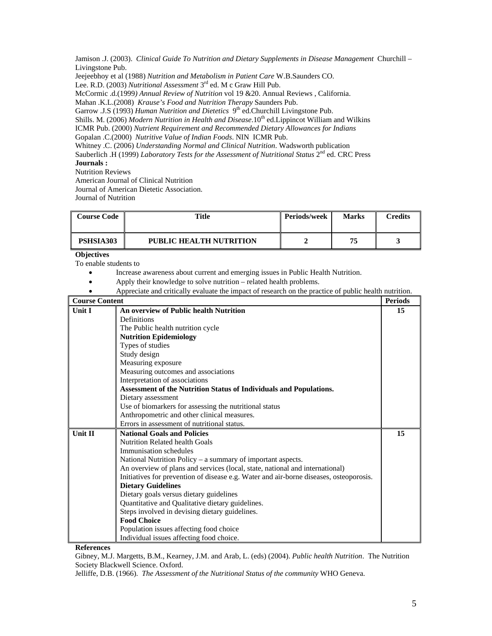Jamison .J. (2003). *Clinical Guide To Nutrition and Dietary Supplements in Disease Management* Churchill – Livingstone Pub.

Jeejeebhoy et al (1988) *Nutrition and Metabolism in Patient Care* W.B.Saunders CO.

Lee. R.D. (2003) *Nutritional Assessment* 3rd ed. M c Graw Hill Pub.

McCormic .d.(1999*) Annual Review of Nutrition* vol 19 &20. Annual Reviews , California.

Mahan .K.L.(2008) *Krause's Food and Nutrition Therapy* Saunders Pub.

Garrow .J.S (1993) *Human Nutrition and Dietetics* 9<sup>th</sup> ed.Churchill Livingstone Pub.

Shills. M. (2006) *Modern Nutrition in Health and Disease*.10<sup>th</sup> ed.Lippincot William and Wilkins

ICMR Pub. (2000) *Nutrient Requirement and Recommended Dietary Allowances for Indians*

Gopalan .C.(2000) *Nutritive Value of Indian Foods*. NIN ICMR Pub.

Whitney .C. (2006) *Understanding Normal and Clinical Nutrition*. Wadsworth publication

Sauberlich .H (1999) *Laboratory Tests for the Assessment of Nutritional Status* 2<sup>nd</sup> ed. CRC Press

## **Journals :**

Nutrition Reviews American Journal of Clinical Nutrition Journal of American Dietetic Association.

Journal of Nutrition

| <b>Course Code</b> | Title                          | Periods/week | <b>Marks</b> | $\gamma$ redits |
|--------------------|--------------------------------|--------------|--------------|-----------------|
| PSHSIA303          | <b>PUBLIC HEALTH NUTRITION</b> |              | 75           |                 |

## **Objectives**

To enable students to

- Increase awareness about current and emerging issues in Public Health Nutrition.
- Apply their knowledge to solve nutrition related health problems.
- Appreciate and critically evaluate the impact of research on the practice of public health nutrition.

| <b>Course Content</b> |                                                                                        | <b>Periods</b> |
|-----------------------|----------------------------------------------------------------------------------------|----------------|
| <b>Unit I</b>         | An overview of Public health Nutrition                                                 | 15             |
|                       | Definitions                                                                            |                |
|                       | The Public health nutrition cycle                                                      |                |
|                       | <b>Nutrition Epidemiology</b>                                                          |                |
|                       | Types of studies                                                                       |                |
|                       | Study design                                                                           |                |
|                       | Measuring exposure                                                                     |                |
|                       | Measuring outcomes and associations                                                    |                |
|                       | Interpretation of associations                                                         |                |
|                       | Assessment of the Nutrition Status of Individuals and Populations.                     |                |
|                       | Dietary assessment                                                                     |                |
|                       | Use of biomarkers for assessing the nutritional status                                 |                |
|                       | Anthropometric and other clinical measures.                                            |                |
|                       | Errors in assessment of nutritional status.                                            |                |
| <b>Unit II</b>        | <b>National Goals and Policies</b>                                                     | 15             |
|                       | Nutrition Related health Goals                                                         |                |
|                       | Immunisation schedules                                                                 |                |
|                       | National Nutrition Policy – a summary of important aspects.                            |                |
|                       | An overview of plans and services (local, state, national and international)           |                |
|                       | Initiatives for prevention of disease e.g. Water and air-borne diseases, osteoporosis. |                |
|                       | <b>Dietary Guidelines</b>                                                              |                |
|                       | Dietary goals versus dietary guidelines                                                |                |
|                       | Quantitative and Qualitative dietary guidelines.                                       |                |
|                       | Steps involved in devising dietary guidelines.                                         |                |
|                       | <b>Food Choice</b>                                                                     |                |
|                       | Population issues affecting food choice                                                |                |
|                       | Individual issues affecting food choice.                                               |                |

## **References**

Gibney, M.J. Margetts, B.M., Kearney, J.M. and Arab, L. (eds) (2004). *Public health Nutrition*. The Nutrition Society Blackwell Science. Oxford.

Jelliffe, D.B. (1966). *The Assessment of the Nutritional Status of the community* WHO Geneva.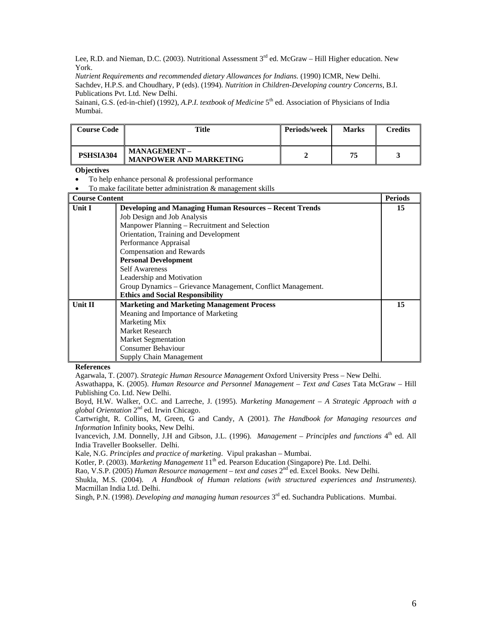Lee, R.D. and Nieman, D.C. (2003). Nutritional Assessment  $3<sup>rd</sup>$  ed. McGraw – Hill Higher education. New York.

*Nutrient Requirements and recommended dietary Allowances for Indians.* (1990) ICMR, New Delhi. Sachdev, H.P.S. and Choudhary, P (eds). (1994). *Nutrition in Children-Developing country Concerns*, B.I. Publications Pvt. Ltd. New Delhi.

Sainani, G.S. (ed-in-chief) (1992), *A.P.I. textbook of Medicine* 5<sup>th</sup> ed. Association of Physicians of India Mumbai.

| <b>Course Code</b> | Title                                                | <b>Periods/week</b> | <b>Marks</b> | Credits |
|--------------------|------------------------------------------------------|---------------------|--------------|---------|
| PSHSIA304          | <b>MANAGEMENT -</b><br><b>MANPOWER AND MARKETING</b> |                     | 75           |         |

## **Objectives**

- To help enhance personal & professional performance
- To make facilitate better administration & management skills

| <b>Course Content</b> |                                                                | <b>Periods</b> |
|-----------------------|----------------------------------------------------------------|----------------|
| Unit I                | <b>Developing and Managing Human Resources - Recent Trends</b> | 15             |
|                       | Job Design and Job Analysis                                    |                |
|                       | Manpower Planning – Recruitment and Selection                  |                |
|                       | Orientation, Training and Development                          |                |
|                       | Performance Appraisal                                          |                |
|                       | Compensation and Rewards                                       |                |
|                       | <b>Personal Development</b>                                    |                |
|                       | <b>Self Awareness</b>                                          |                |
|                       | Leadership and Motivation                                      |                |
|                       | Group Dynamics – Grievance Management, Conflict Management.    |                |
|                       | <b>Ethics and Social Responsibility</b>                        |                |
| Unit II               | <b>Marketing and Marketing Management Process</b>              | 15             |
|                       | Meaning and Importance of Marketing                            |                |
|                       | Marketing Mix                                                  |                |
|                       | Market Research                                                |                |
|                       | <b>Market Segmentation</b>                                     |                |
|                       | <b>Consumer Behaviour</b>                                      |                |
|                       | Supply Chain Management                                        |                |

#### **References**

Agarwala, T. (2007). *Strategic Human Resource Management* Oxford University Press – New Delhi.

Aswathappa, K. (2005). *Human Resource and Personnel Management – Text and Cases* Tata McGraw – Hill Publishing Co. Ltd. New Delhi.

Boyd, H.W. Walker, O.C. and Larreche, J. (1995). *Marketing Management – A Strategic Approach with a global Orientation* 2nd ed. Irwin Chicago.

Cartwright, R. Collins, M, Green, G and Candy, A (2001). *The Handbook for Managing resources and Information* Infinity books, New Delhi.

Ivancevich, J.M. Donnelly, J.H and Gibson, J.L. (1996). *Management – Principles and functions* 4<sup>th</sup> ed. All India Traveller Bookseller. Delhi.

Kale, N.G. *Principles and practice of marketing*. Vipul prakashan – Mumbai.

Kotler, P. (2003). *Marketing Management* 11<sup>th</sup> ed. Pearson Education (Singapore) Pte. Ltd. Delhi.

Rao, V.S.P. (2005) *Human Resource management – text and cases* 2nd ed. Excel Books. New Delhi.

Shukla, M.S. (2004). *A Handbook of Human relations (with structured experiences and Instruments)*. Macmillan India Ltd. Delhi.

Singh, P.N. (1998). *Developing and managing human resources* 3rd ed. Suchandra Publications. Mumbai.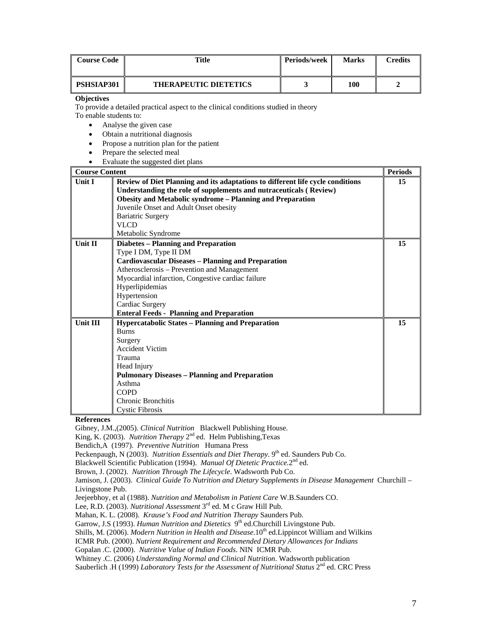| <b>Course Code</b> | Title                        | Periods/week | <b>Marks</b> | $C$ redits |
|--------------------|------------------------------|--------------|--------------|------------|
| PSHSIAP301         | <b>THERAPEUTIC DIETETICS</b> |              | 100          |            |

To provide a detailed practical aspect to the clinical conditions studied in theory To enable students to:

• Analyse the given case

- Obtain a nutritional diagnosis
- Propose a nutrition plan for the patient
- Prepare the selected meal
- Evaluate the suggested diet plans

| <b>Course Content</b> |                                                                                                                                                                                                                         | <b>Periods</b> |
|-----------------------|-------------------------------------------------------------------------------------------------------------------------------------------------------------------------------------------------------------------------|----------------|
| <b>Unit I</b>         | Review of Diet Planning and its adaptations to different life cycle conditions<br>Understanding the role of supplements and nutraceuticals (Review)<br><b>Obesity and Metabolic syndrome - Planning and Preparation</b> | 15             |
|                       | Juvenile Onset and Adult Onset obesity<br><b>Bariatric Surgery</b>                                                                                                                                                      |                |
|                       | <b>VLCD</b>                                                                                                                                                                                                             |                |
|                       | Metabolic Syndrome                                                                                                                                                                                                      |                |
| Unit II               | <b>Diabetes - Planning and Preparation</b>                                                                                                                                                                              | 15             |
|                       | Type I DM, Type II DM                                                                                                                                                                                                   |                |
|                       | <b>Cardiovascular Diseases - Planning and Preparation</b>                                                                                                                                                               |                |
|                       | Atherosclerosis – Prevention and Management                                                                                                                                                                             |                |
|                       | Myocardial infarction, Congestive cardiac failure                                                                                                                                                                       |                |
|                       | Hyperlipidemias                                                                                                                                                                                                         |                |
|                       | Hypertension                                                                                                                                                                                                            |                |
|                       | Cardiac Surgery                                                                                                                                                                                                         |                |
|                       | <b>Enteral Feeds - Planning and Preparation</b>                                                                                                                                                                         |                |
| <b>Unit III</b>       | <b>Hypercatabolic States - Planning and Preparation</b>                                                                                                                                                                 | 15             |
|                       | <b>Burns</b>                                                                                                                                                                                                            |                |
|                       | Surgery                                                                                                                                                                                                                 |                |
|                       | <b>Accident Victim</b>                                                                                                                                                                                                  |                |
|                       | Trauma                                                                                                                                                                                                                  |                |
|                       | Head Injury                                                                                                                                                                                                             |                |
|                       | <b>Pulmonary Diseases - Planning and Preparation</b>                                                                                                                                                                    |                |
|                       | Asthma                                                                                                                                                                                                                  |                |
|                       | <b>COPD</b>                                                                                                                                                                                                             |                |
|                       | Chronic Bronchitis                                                                                                                                                                                                      |                |
|                       | <b>Cystic Fibrosis</b>                                                                                                                                                                                                  |                |

**References** 

Gibney, J.M.,(2005). *Clinical Nutrition* Blackwell Publishing House.

King, K. (2003). *Nutrition Therapy* 2<sup>nd</sup> ed. Helm Publishing,Texas

Bendich,A (1997). *Preventive Nutrition* Humana Press

Peckenpaugh, N (2003). *Nutrition Essentials and Diet Therapy*. 9<sup>th</sup> ed. Saunders Pub Co.

Blackwell Scientific Publication (1994). *Manual Of Dietetic Practice.*2nd ed.

Brown, J. (2002). *Nutrition Through The Lifecycle*. Wadsworth Pub Co.

Jamison, J. (2003). *Clinical Guide To Nutrition and Dietary Supplements in Disease Management* Churchill – Livingstone Pub.

Jeejeebhoy, et al (1988). *Nutrition and Metabolism in Patient Care* W.B.Saunders CO.

Lee, R.D. (2003). *Nutritional Assessment* 3rd ed. M c Graw Hill Pub.

Mahan, K. L. (2008). *Krause's Food and Nutrition Therapy* Saunders Pub.

Garrow, J.S (1993). *Human Nutrition and Dietetics* 9<sup>th</sup> ed. Churchill Livingstone Pub.

Shills, M. (2006). *Modern Nutrition in Health and Disease.* 10<sup>th</sup> ed. Lippincot William and Wilkins

ICMR Pub. (2000). *Nutrient Requirement and Recommended Dietary Allowances for Indians*

Gopalan .C. (2000). *Nutritive Value of Indian Foods*. NIN ICMR Pub.

Whitney .C. (2006) *Understanding Normal and Clinical Nutrition*. Wadsworth publication

Sauberlich .H (1999) *Laboratory Tests for the Assessment of Nutritional Status* 2<sup>nd</sup> ed. CRC Press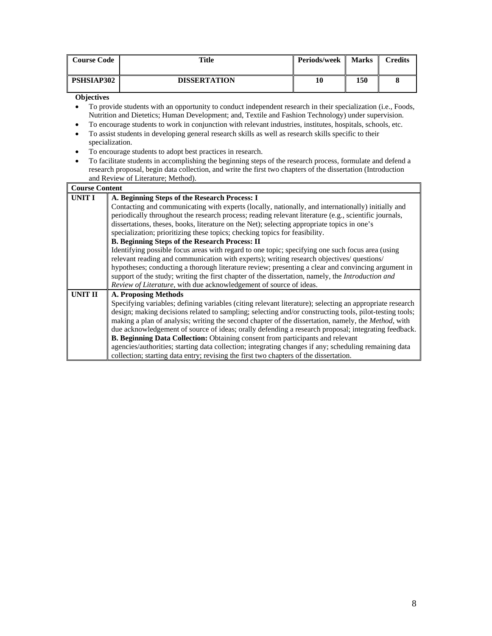| <b>Course Code</b> | Title               | <b>Periods/week</b> | <b>Marks</b> | <b>Credits</b> |
|--------------------|---------------------|---------------------|--------------|----------------|
| PSHSIAP302         | <b>DISSERTATION</b> | 10                  | 150          |                |

- To provide students with an opportunity to conduct independent research in their specialization (i.e., Foods, Nutrition and Dietetics; Human Development; and, Textile and Fashion Technology) under supervision.
- To encourage students to work in conjunction with relevant industries, institutes, hospitals, schools, etc. • To assist students in developing general research skills as well as research skills specific to their
- specialization. • To encourage students to adopt best practices in research.
- To facilitate students in accomplishing the beginning steps of the research process, formulate and defend a research proposal, begin data collection, and write the first two chapters of the dissertation (Introduction and Review of Literature; Method).

| <b>Course Content</b> |                                                                                                          |
|-----------------------|----------------------------------------------------------------------------------------------------------|
| <b>UNIT I</b>         | A. Beginning Steps of the Research Process: I                                                            |
|                       | Contacting and communicating with experts (locally, nationally, and internationally) initially and       |
|                       | periodically throughout the research process; reading relevant literature (e.g., scientific journals,    |
|                       | dissertations, theses, books, literature on the Net); selecting appropriate topics in one's              |
|                       | specialization; prioritizing these topics; checking topics for feasibility.                              |
|                       | <b>B. Beginning Steps of the Research Process: II</b>                                                    |
|                       | Identifying possible focus areas with regard to one topic; specifying one such focus area (using         |
|                       | relevant reading and communication with experts); writing research objectives/ questions/                |
|                       | hypotheses; conducting a thorough literature review; presenting a clear and convincing argument in       |
|                       | support of the study; writing the first chapter of the dissertation, namely, the <i>Introduction and</i> |
|                       | Review of Literature, with due acknowledgement of source of ideas.                                       |
| UNIT II               | A. Proposing Methods                                                                                     |
|                       | Specifying variables; defining variables (citing relevant literature); selecting an appropriate research |
|                       | design; making decisions related to sampling; selecting and/or constructing tools, pilot-testing tools;  |
|                       | making a plan of analysis; writing the second chapter of the dissertation, namely, the Method, with      |
|                       | due acknowledgement of source of ideas; orally defending a research proposal; integrating feedback.      |
|                       | B. Beginning Data Collection: Obtaining consent from participants and relevant                           |
|                       | agencies/authorities; starting data collection; integrating changes if any; scheduling remaining data    |
|                       | collection; starting data entry; revising the first two chapters of the dissertation.                    |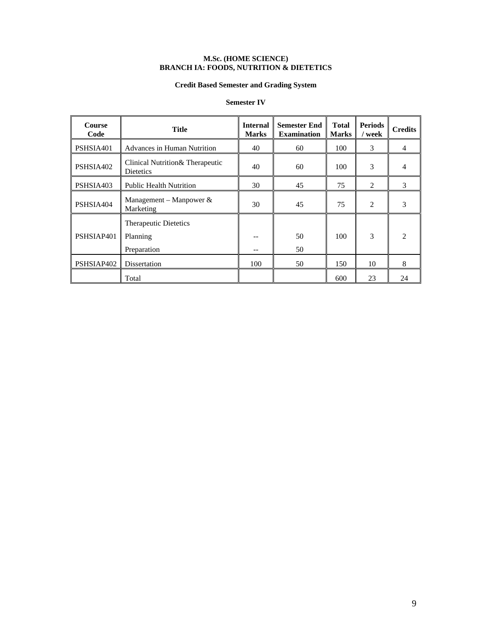#### **M.Sc. (HOME SCIENCE) BRANCH IA: FOODS, NUTRITION & DIETETICS**

## **Credit Based Semester and Grading System**

## **Semester IV**

| <b>Course</b><br>Code | Title                                                | <b>Internal</b><br><b>Marks</b> | <b>Semester End</b><br><b>Examination</b> | <b>Total</b><br><b>Marks</b> | <b>Periods</b><br>/ week | <b>Credits</b> |
|-----------------------|------------------------------------------------------|---------------------------------|-------------------------------------------|------------------------------|--------------------------|----------------|
| PSHSIA401             | Advances in Human Nutrition                          | 40                              | 60                                        | 100                          | 3                        | 4              |
| PSHSIA402             | Clinical Nutrition & Therapeutic<br><b>Dietetics</b> | 40                              | 60                                        | 100                          | 3                        |                |
| PSHSIA403             | <b>Public Health Nutrition</b>                       | 30                              | 45                                        | 75                           | 2                        | 3              |
| PSHSIA404             | Management – Manpower $\&$<br>Marketing              | 30                              | 45                                        | 75                           | 2                        | 3              |
| PSHSIAP401            | Therapeutic Dietetics<br>Planning<br>Preparation     |                                 | 50<br>50                                  | 100                          | 3                        | $\mathcal{D}$  |
| PSHSIAP402            | Dissertation                                         | 100                             | 50                                        | 150                          | 10                       | 8              |
|                       | Total                                                |                                 |                                           | 600                          | 23                       | 24             |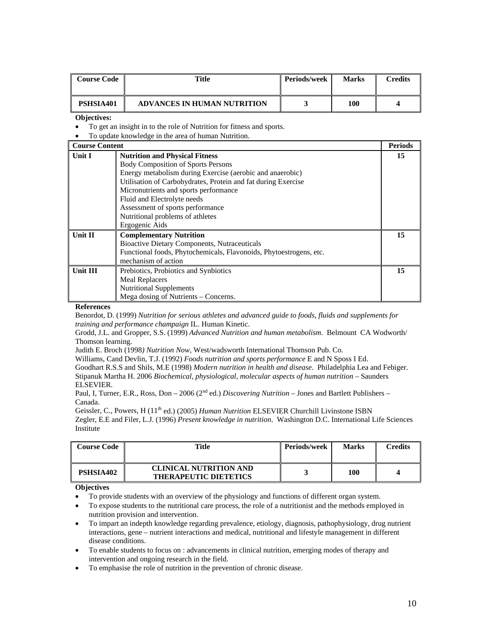| <b>Course Code</b> | Title                              | <b>Periods/week</b> | <b>Marks</b> | Credits |
|--------------------|------------------------------------|---------------------|--------------|---------|
| PSHSIA401          | <b>ADVANCES IN HUMAN NUTRITION</b> |                     | 100          |         |

• To get an insight in to the role of Nutrition for fitness and sports.

• To update knowledge in the area of human Nutrition.

| <b>Course Content</b> |                                                                    | <b>Periods</b> |
|-----------------------|--------------------------------------------------------------------|----------------|
| Unit I                | <b>Nutrition and Physical Fitness</b>                              | 15             |
|                       | <b>Body Composition of Sports Persons</b>                          |                |
|                       | Energy metabolism during Exercise (aerobic and anaerobic)          |                |
|                       | Utilisation of Carbohydrates, Protein and fat during Exercise      |                |
|                       | Micronutrients and sports performance                              |                |
|                       | Fluid and Electrolyte needs                                        |                |
|                       | Assessment of sports performance                                   |                |
|                       | Nutritional problems of athletes                                   |                |
|                       | Ergogenic Aids                                                     |                |
| Unit $\Pi$            | <b>Complementary Nutrition</b>                                     | 15             |
|                       | <b>Bioactive Dietary Components, Nutraceuticals</b>                |                |
|                       | Functional foods, Phytochemicals, Flavonoids, Phytoestrogens, etc. |                |
|                       | mechanism of action                                                |                |
| <b>Unit III</b>       | Prebiotics, Probiotics and Synbiotics                              | 15             |
|                       | <b>Meal Replacers</b>                                              |                |
|                       | <b>Nutritional Supplements</b>                                     |                |
|                       | Mega dosing of Nutrients – Concerns.                               |                |

**References** 

Benordot, D. (1999) *Nutrition for serious athletes and advanced guide to foods, fluids and supplements for training and performance champaign* IL. Human Kinetic.

Grodd, J.L. and Gropper, S.S. (1999) *Advanced Nutrition and human metabolism*. Belmount CA Wodworth/ Thomson learning.

Judith E. Broch (1998*) Nutrition Now*, West/wadsworth International Thomson Pub. Co.

Williams, Cand Devlin, T.J. (1992) *Foods nutrition and sports performance* E and N Sposs I Ed.

Goodhart R.S.S and Shils, M.E (1998) *Modern nutrition in health and disease*. Philadelphia Lea and Febiger. Stipanuk Martha H. 2006 *Biochemical, physiological, molecular aspects of human nutrition* – Saunders ELSEVIER.

Paul, I, Turner, E.R., Ross, Don – 2006 (2<sup>nd</sup> ed.) *Discovering Nutrition* – Jones and Bartlett Publishers – Canada.

Geissler, C., Powers, H (11<sup>th</sup> ed.) (2005) *Human Nutrition* ELSEVIER Churchill Livinstone ISBN

Zegler, E.E and Filer, L.J. (1996) *Present knowledge in nutrition*. Washington D.C. International Life Sciences Institute

| <b>Course Code</b> | Title                                                         | <b>Periods/week</b> | <b>Marks</b> | Credits |
|--------------------|---------------------------------------------------------------|---------------------|--------------|---------|
| PSHSIA402          | <b>CLINICAL NUTRITION AND</b><br><b>THERAPEUTIC DIETETICS</b> |                     | 100          |         |

#### **Objectives**

- To provide students with an overview of the physiology and functions of different organ system.
- To expose students to the nutritional care process, the role of a nutritionist and the methods employed in nutrition provision and intervention.
- To impart an indepth knowledge regarding prevalence, etiology, diagnosis, pathophysiology, drug nutrient interactions, gene – nutrient interactions and medical, nutritional and lifestyle management in different disease conditions.
- To enable students to focus on : advancements in clinical nutrition, emerging modes of therapy and intervention and ongoing research in the field.
- To emphasise the role of nutrition in the prevention of chronic disease.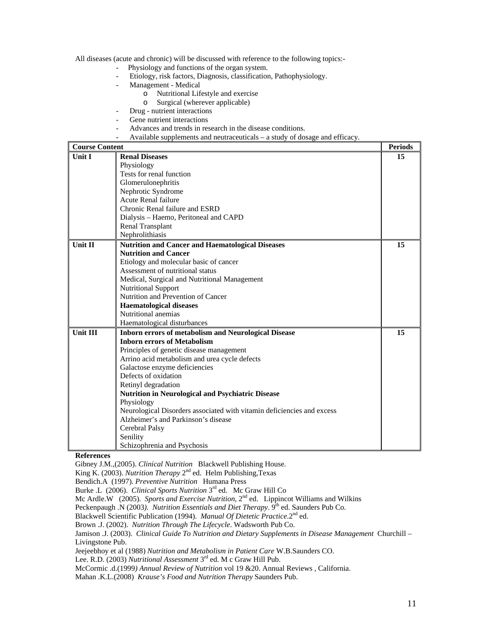All diseases (acute and chronic) will be discussed with reference to the following topics:-

- Physiology and functions of the organ system.
	- Etiology, risk factors, Diagnosis, classification, Pathophysiology.
- Management Medical
	- o Nutritional Lifestyle and exercise
	- o Surgical (wherever applicable)
- Drug nutrient interactions
- Gene nutrient interactions
- Advances and trends in research in the disease conditions.
- Available supplements and neutraceuticals a study of dosage and efficacy.

| <b>Course Content</b> |                                                                        | <b>Periods</b> |
|-----------------------|------------------------------------------------------------------------|----------------|
| <b>Unit I</b>         | <b>Renal Diseases</b>                                                  | 15             |
|                       | Physiology                                                             |                |
|                       | Tests for renal function                                               |                |
|                       | Glomerulonephritis                                                     |                |
|                       | Nephrotic Syndrome                                                     |                |
|                       | Acute Renal failure                                                    |                |
|                       | Chronic Renal failure and ESRD                                         |                |
|                       | Dialysis – Haemo, Peritoneal and CAPD                                  |                |
|                       | Renal Transplant                                                       |                |
|                       | Nephrolithiasis                                                        |                |
| <b>Unit II</b>        | <b>Nutrition and Cancer and Haematological Diseases</b>                | 15             |
|                       | <b>Nutrition and Cancer</b>                                            |                |
|                       | Etiology and molecular basic of cancer                                 |                |
|                       | Assessment of nutritional status                                       |                |
|                       | Medical, Surgical and Nutritional Management                           |                |
|                       | <b>Nutritional Support</b>                                             |                |
|                       | Nutrition and Prevention of Cancer                                     |                |
|                       | <b>Haematological diseases</b>                                         |                |
|                       | Nutritional anemias                                                    |                |
|                       | Haematological disturbances                                            |                |
| <b>Unit III</b>       | <b>Inborn errors of metabolism and Neurological Disease</b>            | 15             |
|                       | <b>Inborn errors of Metabolism</b>                                     |                |
|                       | Principles of genetic disease management                               |                |
|                       | Arrino acid metabolism and urea cycle defects                          |                |
|                       | Galactose enzyme deficiencies                                          |                |
|                       | Defects of oxidation                                                   |                |
|                       | Retinyl degradation                                                    |                |
|                       | Nutrition in Neurological and Psychiatric Disease                      |                |
|                       | Physiology                                                             |                |
|                       | Neurological Disorders associated with vitamin deficiencies and excess |                |
|                       | Alzheimer's and Parkinson's disease                                    |                |
|                       | Cerebral Palsy                                                         |                |
|                       | Senility                                                               |                |
|                       | Schizophrenia and Psychosis                                            |                |

#### **References**

Gibney J.M.,(2005). *Clinical Nutrition* Blackwell Publishing House.

King K. (2003). *Nutrition Therapy* 2nd ed. Helm Publishing,Texas

Bendich.A (1997). *Preventive Nutrition* Humana Press

Burke .L (2006). *Clinical Sports Nutrition* 3rd ed. Mc Graw Hill Co

Mc Ardle.W (2005). *Sports and Exercise Nutrition*, 2<sup>nd</sup> ed. Lippincot Williams and Wilkins

Peckenpaugh .N (2003). Nutrition Essentials and Diet Therapy. 9<sup>th</sup> ed. Saunders Pub Co.

Blackwell Scientific Publication (1994). *Manual Of Dietetic Practice*.2nd ed.

Brown .J. (2002). *Nutrition Through The Lifecycle*. Wadsworth Pub Co.

Jamison .J. (2003). *Clinical Guide To Nutrition and Dietary Supplements in Disease Management* Churchill – Livingstone Pub.

Jeejeebhoy et al (1988) *Nutrition and Metabolism in Patient Care* W.B.Saunders CO.

Lee. R.D. (2003) *Nutritional Assessment* 3rd ed. M c Graw Hill Pub.

McCormic .d.(1999*) Annual Review of Nutrition* vol 19 &20. Annual Reviews , California.

Mahan .K.L.(2008) *Krause's Food and Nutrition Therapy* Saunders Pub.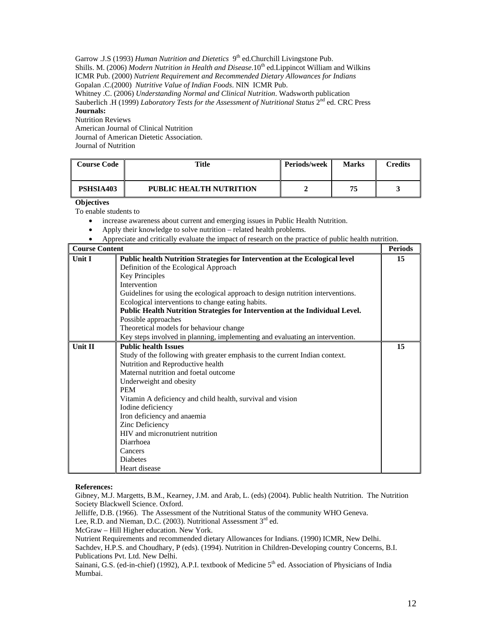Garrow .J.S (1993) *Human Nutrition and Dietetics* 9<sup>th</sup> ed.Churchill Livingstone Pub. Shills. M. (2006) *Modern Nutrition in Health and Disease*.10<sup>th</sup> ed.Lippincot William and Wilkins ICMR Pub. (2000) *Nutrient Requirement and Recommended Dietary Allowances for Indians* Gopalan .C.(2000) *Nutritive Value of Indian Foods*. NIN ICMR Pub. Whitney .C. (2006) *Understanding Normal and Clinical Nutrition*. Wadsworth publication Sauberlich .H (1999) *Laboratory Tests for the Assessment of Nutritional Status* 2<sup>nd</sup> ed. CRC Press **Journals:**  Nutrition Reviews American Journal of Clinical Nutrition

Journal of American Dietetic Association. Journal of Nutrition

| <b>Course Code</b> | <b>Title</b>                   | <b>Periods/week</b> | <b>Marks</b> | Credits |
|--------------------|--------------------------------|---------------------|--------------|---------|
| PSHSIA403          | <b>PUBLIC HEALTH NUTRITION</b> |                     | 75           |         |

#### **Objectives**

To enable students to

- increase awareness about current and emerging issues in Public Health Nutrition.
- Apply their knowledge to solve nutrition related health problems.
- Appreciate and critically evaluate the impact of research on the practice of public health nutrition.

| <b>Course Content</b> |                                                                                 | <b>Periods</b> |
|-----------------------|---------------------------------------------------------------------------------|----------------|
| <b>Unit I</b>         | Public health Nutrition Strategies for Intervention at the Ecological level     | 15             |
|                       | Definition of the Ecological Approach                                           |                |
|                       | <b>Key Principles</b>                                                           |                |
|                       | Intervention                                                                    |                |
|                       | Guidelines for using the ecological approach to design nutrition interventions. |                |
|                       | Ecological interventions to change eating habits.                               |                |
|                       | Public Health Nutrition Strategies for Intervention at the Individual Level.    |                |
|                       | Possible approaches                                                             |                |
|                       | Theoretical models for behaviour change                                         |                |
|                       | Key steps involved in planning, implementing and evaluating an intervention.    |                |
| Unit II               | <b>Public health Issues</b>                                                     | 15             |
|                       | Study of the following with greater emphasis to the current Indian context.     |                |
|                       | Nutrition and Reproductive health                                               |                |
|                       | Maternal nutrition and foetal outcome                                           |                |
|                       | Underweight and obesity                                                         |                |
|                       | <b>PEM</b>                                                                      |                |
|                       | Vitamin A deficiency and child health, survival and vision                      |                |
|                       | Iodine deficiency                                                               |                |
|                       | Iron deficiency and anaemia                                                     |                |
|                       | Zinc Deficiency                                                                 |                |
|                       | HIV and micronutrient nutrition                                                 |                |
|                       | Diarrhoea                                                                       |                |
|                       | Cancers                                                                         |                |
|                       | <b>Diabetes</b>                                                                 |                |
|                       | Heart disease                                                                   |                |

#### **References:**

Gibney, M.J. Margetts, B.M., Kearney, J.M. and Arab, L. (eds) (2004). Public health Nutrition. The Nutrition Society Blackwell Science. Oxford.

Jelliffe, D.B. (1966). The Assessment of the Nutritional Status of the community WHO Geneva.

Lee, R.D. and Nieman, D.C. (2003). Nutritional Assessment 3<sup>rd</sup> ed.

McGraw – Hill Higher education. New York.

Nutrient Requirements and recommended dietary Allowances for Indians. (1990) ICMR, New Delhi.

Sachdev, H.P.S. and Choudhary, P (eds). (1994). Nutrition in Children-Developing country Concerns, B.I. Publications Pvt. Ltd. New Delhi.

Sainani, G.S. (ed-in-chief) (1992), A.P.I. textbook of Medicine 5<sup>th</sup> ed. Association of Physicians of India Mumbai.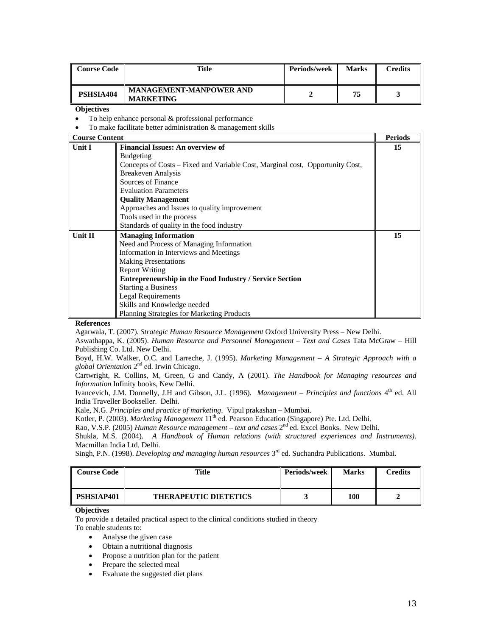| <b>Course Code</b> | Title                                              | Periods/week | <b>Marks</b> | Credits |
|--------------------|----------------------------------------------------|--------------|--------------|---------|
| PSHSIA404          | <b>MANAGEMENT-MANPOWER AND</b><br><b>MARKETING</b> |              | 75           |         |

- To help enhance personal & professional performance
- To make facilitate better administration & management skills

| <b>Course Content</b> |                                                                               | <b>Periods</b> |
|-----------------------|-------------------------------------------------------------------------------|----------------|
| <b>Unit I</b>         | <b>Financial Issues: An overview of</b>                                       | 15             |
|                       | <b>Budgeting</b>                                                              |                |
|                       | Concepts of Costs – Fixed and Variable Cost, Marginal cost, Opportunity Cost, |                |
|                       | <b>Breakeven Analysis</b>                                                     |                |
|                       | Sources of Finance                                                            |                |
|                       | <b>Evaluation Parameters</b>                                                  |                |
|                       | <b>Quality Management</b>                                                     |                |
|                       | Approaches and Issues to quality improvement                                  |                |
|                       | Tools used in the process                                                     |                |
|                       | Standards of quality in the food industry                                     |                |
| Unit $\Pi$            | <b>Managing Information</b>                                                   | 15             |
|                       | Need and Process of Managing Information                                      |                |
|                       | Information in Interviews and Meetings                                        |                |
|                       | <b>Making Presentations</b>                                                   |                |
|                       | <b>Report Writing</b>                                                         |                |
|                       | <b>Entrepreneurship in the Food Industry / Service Section</b>                |                |
|                       | <b>Starting a Business</b>                                                    |                |
|                       | <b>Legal Requirements</b>                                                     |                |
|                       | Skills and Knowledge needed                                                   |                |
|                       | <b>Planning Strategies for Marketing Products</b>                             |                |

#### **References**

Agarwala, T. (2007). *Strategic Human Resource Management* Oxford University Press – New Delhi.

Aswathappa, K. (2005). *Human Resource and Personnel Management – Text and Cases* Tata McGraw – Hill Publishing Co. Ltd. New Delhi.

Boyd, H.W. Walker, O.C. and Larreche, J. (1995). *Marketing Management – A Strategic Approach with a global Orientation* 2nd ed. Irwin Chicago.

Cartwright, R. Collins, M, Green, G and Candy, A (2001). *The Handbook for Managing resources and Information* Infinity books, New Delhi.

Ivancevich, J.M. Donnelly, J.H and Gibson, J.L. (1996). *Management – Principles and functions* 4<sup>th</sup> ed. All India Traveller Bookseller. Delhi.

Kale, N.G. *Principles and practice of marketing*. Vipul prakashan – Mumbai.

Kotler, P. (2003). *Marketing Management* 11<sup>th</sup> ed. Pearson Education (Singapore) Pte. Ltd. Delhi.

Rao, V.S.P. (2005) *Human Resource management – text and cases* 2<sup>nd</sup> ed. Excel Books. New Delhi.

Shukla, M.S. (2004). *A Handbook of Human relations (with structured experiences and Instruments)*. Macmillan India Ltd. Delhi.

Singh, P.N. (1998). *Developing and managing human resources* 3rd ed. Suchandra Publications. Mumbai.

| <b>Course Code</b> | Title                        | <b>Periods/week</b> | <b>Marks</b> | <b>Predits</b> |
|--------------------|------------------------------|---------------------|--------------|----------------|
| PSHSIAP401         | <b>THERAPEUTIC DIETETICS</b> |                     | 100          |                |

#### **Objectives**

To provide a detailed practical aspect to the clinical conditions studied in theory

To enable students to:

- Analyse the given case
- Obtain a nutritional diagnosis
- Propose a nutrition plan for the patient
- Prepare the selected meal
- Evaluate the suggested diet plans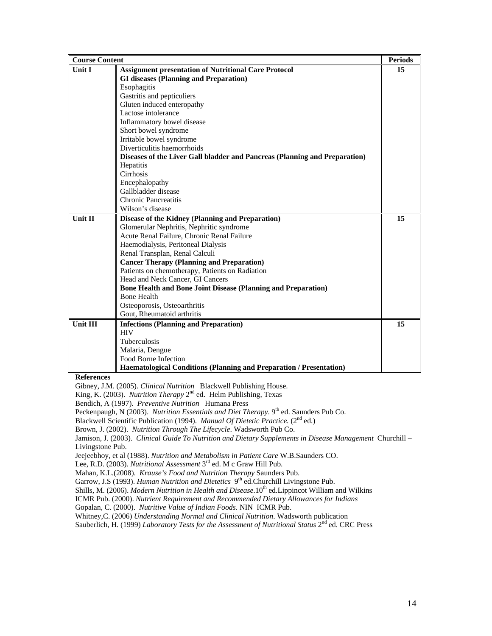| <b>Course Content</b> |                                                                            | <b>Periods</b> |
|-----------------------|----------------------------------------------------------------------------|----------------|
| <b>Unit I</b>         | <b>Assignment presentation of Nutritional Care Protocol</b>                | 15             |
|                       | <b>GI diseases (Planning and Preparation)</b>                              |                |
|                       | Esophagitis                                                                |                |
|                       | Gastritis and pepticuliers                                                 |                |
|                       | Gluten induced enteropathy                                                 |                |
|                       | Lactose intolerance                                                        |                |
|                       | Inflammatory bowel disease                                                 |                |
|                       | Short bowel syndrome                                                       |                |
|                       | Irritable bowel syndrome                                                   |                |
|                       | Diverticulitis haemorrhoids                                                |                |
|                       | Diseases of the Liver Gall bladder and Pancreas (Planning and Preparation) |                |
|                       | Hepatitis                                                                  |                |
|                       | Cirrhosis                                                                  |                |
|                       | Encephalopathy                                                             |                |
|                       | Gallbladder disease                                                        |                |
|                       | <b>Chronic Pancreatitis</b>                                                |                |
|                       | Wilson's disease                                                           |                |
| Unit II               | Disease of the Kidney (Planning and Preparation)                           | 15             |
|                       | Glomerular Nephritis, Nephritic syndrome                                   |                |
|                       | Acute Renal Failure, Chronic Renal Failure                                 |                |
|                       | Haemodialysis, Peritoneal Dialysis                                         |                |
|                       | Renal Transplan, Renal Calculi                                             |                |
|                       | <b>Cancer Therapy (Planning and Preparation)</b>                           |                |
|                       | Patients on chemotherapy, Patients on Radiation                            |                |
|                       | Head and Neck Cancer, GI Cancers                                           |                |
|                       | <b>Bone Health and Bone Joint Disease (Planning and Preparation)</b>       |                |
|                       | <b>Bone Health</b>                                                         |                |
|                       | Osteoporosis, Osteoarthritis                                               |                |
|                       | Gout, Rheumatoid arthritis                                                 |                |
| Unit III              | <b>Infections (Planning and Preparation)</b>                               | 15             |
|                       | <b>HIV</b>                                                                 |                |
|                       | Tuberculosis                                                               |                |
|                       | Malaria, Dengue                                                            |                |
|                       | Food Borne Infection                                                       |                |
|                       | <b>Haematological Conditions (Planning and Preparation / Presentation)</b> |                |

#### **References**

Gibney, J.M. (2005). *Clinical Nutrition* Blackwell Publishing House.

King, K. (2003). *Nutrition Therapy* 2nd ed. Helm Publishing, Texas

Bendich, A (1997). *Preventive Nutrition* Humana Press

Peckenpaugh, N (2003). *Nutrition Essentials and Diet Therapy*. 9<sup>th</sup> ed. Saunders Pub Co.

Blackwell Scientific Publication (1994). *Manual Of Dietetic Practice.* (2<sup>nd</sup> ed.)

Brown, J. (2002). *Nutrition Through The Lifecycle*. Wadsworth Pub Co.

Jamison, J. (2003). *Clinical Guide To Nutrition and Dietary Supplements in Disease Management* Churchill – Livingstone Pub.

Jeejeebhoy, et al (1988). *Nutrition and Metabolism in Patient Care* W.B.Saunders CO.

Lee, R.D. (2003). *Nutritional Assessment* 3rd ed. M c Graw Hill Pub.

Mahan, K.L.(2008). *Krause's Food and Nutrition Therapy* Saunders Pub.

Garrow, J.S (1993). *Human Nutrition and Dietetics* 9<sup>th</sup> ed.Churchill Livingstone Pub.

Shills, M. (2006). *Modern Nutrition in Health and Disease*.10<sup>th</sup> ed.Lippincot William and Wilkins

ICMR Pub. (2000). *Nutrient Requirement and Recommended Dietary Allowances for Indians*

Gopalan, C. (2000). *Nutritive Value of Indian Foods*. NIN ICMR Pub.

Whitney,C. (2006) *Understanding Normal and Clinical Nutrition*. Wadsworth publication

Sauberlich, H. (1999) *Laboratory Tests for the Assessment of Nutritional Status* 2<sup>nd</sup> ed. CRC Press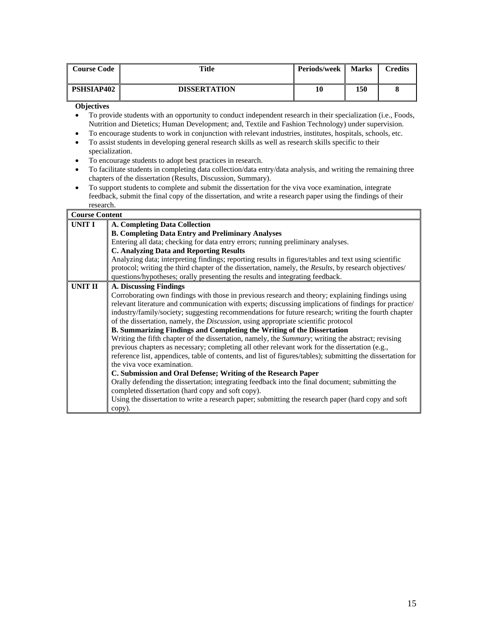| <b>Course Code</b>                                  | Title                                                                                                                                                                                                                                                                                                                                                                                                                                        | Periods/week | <b>Marks</b> | <b>Credits</b> |
|-----------------------------------------------------|----------------------------------------------------------------------------------------------------------------------------------------------------------------------------------------------------------------------------------------------------------------------------------------------------------------------------------------------------------------------------------------------------------------------------------------------|--------------|--------------|----------------|
| <b>PSHSIAP402</b>                                   | <b>DISSERTATION</b>                                                                                                                                                                                                                                                                                                                                                                                                                          | 10           | 150          | 8              |
| <b>Objectives</b><br>٠<br>٠<br>٠<br>specialization. | To provide students with an opportunity to conduct independent research in their specialization (i.e., Foods,<br>Nutrition and Dietetics; Human Development; and, Textile and Fashion Technology) under supervision.<br>To encourage students to work in conjunction with relevant industries, institutes, hospitals, schools, etc.<br>To assist students in developing general research skills as well as research skills specific to their |              |              |                |

- To encourage students to adopt best practices in research.
- To facilitate students in completing data collection/data entry/data analysis, and writing the remaining three chapters of the dissertation (Results, Discussion, Summary).
- To support students to complete and submit the dissertation for the viva voce examination, integrate feedback, submit the final copy of the dissertation, and write a research paper using the findings of their research.

## **Course Content**

| <b>UNIT I</b>  | <b>A. Completing Data Collection</b>                                                                        |  |  |  |  |
|----------------|-------------------------------------------------------------------------------------------------------------|--|--|--|--|
|                | <b>B. Completing Data Entry and Preliminary Analyses</b>                                                    |  |  |  |  |
|                | Entering all data; checking for data entry errors; running preliminary analyses.                            |  |  |  |  |
|                | <b>C. Analyzing Data and Reporting Results</b>                                                              |  |  |  |  |
|                | Analyzing data; interpreting findings; reporting results in figures/tables and text using scientific        |  |  |  |  |
|                | protocol; writing the third chapter of the dissertation, namely, the Results, by research objectives/       |  |  |  |  |
|                | questions/hypotheses; orally presenting the results and integrating feedback.                               |  |  |  |  |
| <b>UNIT II</b> | <b>A. Discussing Findings</b>                                                                               |  |  |  |  |
|                | Corroborating own findings with those in previous research and theory; explaining findings using            |  |  |  |  |
|                | relevant literature and communication with experts; discussing implications of findings for practice/       |  |  |  |  |
|                | industry/family/society; suggesting recommendations for future research; writing the fourth chapter         |  |  |  |  |
|                | of the dissertation, namely, the Discussion, using appropriate scientific protocol                          |  |  |  |  |
|                | <b>B. Summarizing Findings and Completing the Writing of the Dissertation</b>                               |  |  |  |  |
|                | Writing the fifth chapter of the dissertation, namely, the <i>Summary</i> ; writing the abstract; revising  |  |  |  |  |
|                | previous chapters as necessary; completing all other relevant work for the dissertation (e.g.,              |  |  |  |  |
|                | reference list, appendices, table of contents, and list of figures/tables); submitting the dissertation for |  |  |  |  |
|                | the viva voce examination.                                                                                  |  |  |  |  |
|                | C. Submission and Oral Defense; Writing of the Research Paper                                               |  |  |  |  |
|                | Orally defending the dissertation; integrating feedback into the final document; submitting the             |  |  |  |  |
|                | completed dissertation (hard copy and soft copy).                                                           |  |  |  |  |
|                | Using the dissertation to write a research paper; submitting the research paper (hard copy and soft         |  |  |  |  |
|                | copy).                                                                                                      |  |  |  |  |